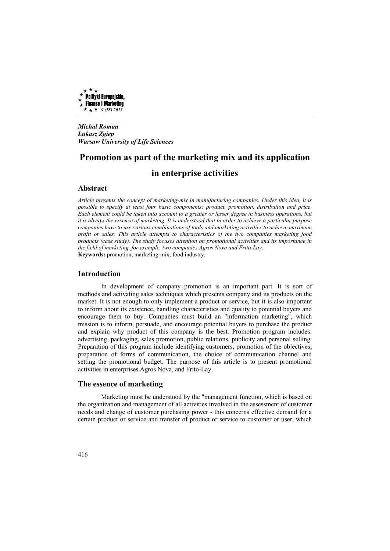

*Michał Roman Łukasz Zgiep Warsaw University of Life Sciences* 

# **Promotion as part of the marketing mix and its application in enterprise activities**

## **Abstract**

*Article presents the concept of marketing-mix in manufacturing companies. Under this idea, it is possible to specify at least four basic components: product, promotion, distribution and price. Each element could be taken into account to a greater or lesser degree in business operations, but it is always the essence of marketing. It is understood that in order to achieve a particular purpose companies have to use various combinations of tools and marketing activities to achieve maximum profit or sales. This article attempts to characteristics of the two companies marketing food products (case study). The study focuses attention on promotional activities and its importance in the field of marketing, for example, two companies Agros Nova and Frito-Lay.*  **Keywords:** promotion, marketing-mix, food industry.

### **Introduction**

In development of company promotion is an important part. It is sort of methods and activating sales techniques which presents company and its products on the market. It is not enough to only implement a product or service, but it is also important to inform about its existence, handling characteristics and quality to potential buyers and encourage them to buy. Companies must build an "information marketing", which mission is to inform, persuade, and encourage potential buyers to purchase the product and explain why product of this company is the best. Promotion program includes: advertising, packaging, sales promotion, public relations, publicity and personal selling. Preparation of this program include identifying customers, promotion of the objectives, preparation of forms of communication, the choice of communication channel and setting the promotional budget. The purpose of this article is to present promotional activities in enterprises Agros Nova, and Frito-Lay.

# **The essence of marketing**

Marketing must be understood by the "management function, which is based on the organization and management of all activities involved in the assessment of customer needs and change of customer purchasing power - this concerns effective demand for a certain product or service and transfer of product or service to customer or user, which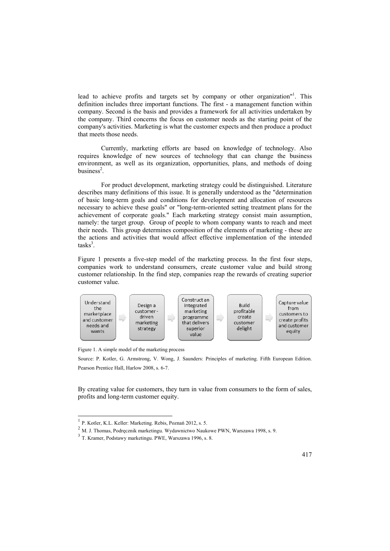lead to achieve profits and targets set by company or other organization"<sup>1</sup>. This definition includes three important functions. The first - a management function within company. Second is the basis and provides a framework for all activities undertaken by the company. Third concerns the focus on customer needs as the starting point of the company's activities. Marketing is what the customer expects and then produce a product that meets those needs.

Currently, marketing efforts are based on knowledge of technology. Also requires knowledge of new sources of technology that can change the business environment, as well as its organization, opportunities, plans, and methods of doing  $b$ usiness<sup>2</sup>.

For product development, marketing strategy could be distinguished. Literature describes many definitions of this issue. It is generally understood as the "determination of basic long-term goals and conditions for development and allocation of resources necessary to achieve these goals" or "long-term-oriented setting treatment plans for the achievement of corporate goals." Each marketing strategy consist main assumption, namely: the target group. Group of people to whom company wants to reach and meet their needs. This group determines composition of the elements of marketing - these are the actions and activities that would affect effective implementation of the intended tasks<sup>3</sup>.

Figure 1 presents a five-step model of the marketing process. In the first four steps, companies work to understand consumers, create customer value and build strong customer relationship. In the find step, companies reap the rewards of creating superior customer value.



Figure 1. A simple model of the marketing process

Source: P. Kotler, G. Armstrong, V. Wong, J. Saunders: Principles of marketing. Fifth European Edition. Pearson Prentice Hall, Harlow 2008, s. 6-7.

By creating value for customers, they turn in value from consumers to the form of sales, profits and long-term customer equity.

 1 P. Kotler, K.L. Keller: Marketing. Rebis, Poznań 2012, s. 5.

<sup>2</sup> M. J. Thomas, Podręcznik marketingu. Wydawnictwo Naukowe PWN, Warszawa 1998, s. 9.

<sup>3</sup> T. Kramer, Podstawy marketingu. PWE, Warszawa 1996, s. 8.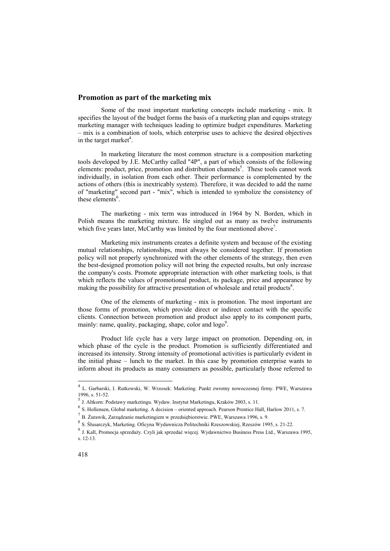# **Promotion as part of the marketing mix**

Some of the most important marketing concepts include marketing - mix. It specifies the layout of the budget forms the basis of a marketing plan and equips strategy marketing manager with techniques leading to optimize budget expenditures. Marketing – mix is a combination of tools, which enterprise uses to achieve the desired objectives in the target market<sup>4</sup>.

In marketing literature the most common structure is a composition marketing tools developed by J.E. McCarthy called "4P", a part of which consists of the following elements: product, price, promotion and distribution channels<sup>5</sup>. These tools cannot work individually, in isolation from each other. Their performance is complemented by the actions of others (this is inextricably system). Therefore, it was decided to add the name of "marketing" second part - "mix", which is intended to symbolize the consistency of these elements<sup>6</sup>.

The marketing - mix term was introduced in 1964 by N. Borden, which in Polish means the marketing mixture. He singled out as many as twelve instruments which five years later, McCarthy was limited by the four mentioned above<sup>7</sup>.

Marketing mix instruments creates a definite system and because of the existing mutual relationships, relationships, must always be considered together. If promotion policy will not properly synchronized with the other elements of the strategy, then even the best-designed promotion policy will not bring the expected results, but only increase the company's costs. Promote appropriate interaction with other marketing tools, is that which reflects the values of promotional product, its package, price and appearance by making the possibility for attractive presentation of wholesale and retail products<sup>8</sup>.

One of the elements of marketing - mix is promotion. The most important are those forms of promotion, which provide direct or indirect contact with the specific clients. Connection between promotion and product also apply to its component parts, mainly: name, quality, packaging, shape, color and logo<sup>9</sup>.

Product life cycle has a very large impact on promotion. Depending on, in which phase of the cycle is the product. Promotion is sufficiently differentiated and increased its intensity. Strong intensity of promotional activities is particularly evident in the initial phase – lunch to the market. In this case by promotion enterprise wants to inform about its products as many consumers as possible, particularly those referred to

 4 L. Garbarski, I. Rutkowski, W. Wrzosek: Marketing. Punkt zwrotny nowoczesnej firmy. PWE, Warszawa 1996, s. 51-52.

<sup>5</sup> J. Altkorn: Podstawy marketingu. Wydaw. Instytut Marketingu, Kraków 2003, s. 11.

 $^6$  S. Hollensen, Global marketing. A decision – oriented approach. Pearson Prentice Hall, Harlow 2011, s. 7.

 $^{7}$  B. Żurawik, Zarządzanie marketingiem w przedsiębiorstwie. PWE, Warszawa 1996, s. 9.

<sup>&</sup>lt;sup>8</sup> S. Ślusarczyk, Marketing. Oficyna Wydawnicza Politechniki Rzeszowskiej, Rzeszów 1995, s. 21-22.

<sup>&</sup>lt;sup>9</sup> J. Kall, Promocja sprzedaży. Czyli jak sprzedać więcej. Wydawnictwo Business Press Ltd., Warszawa 1995, s. 12-13.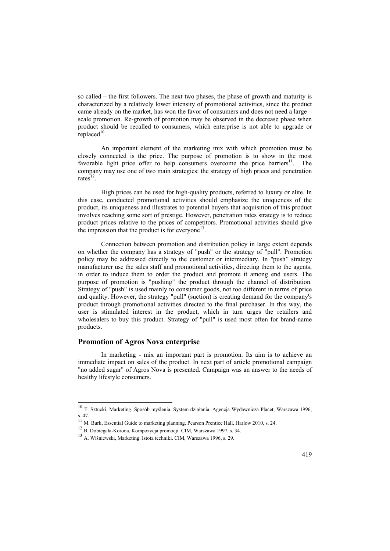so called – the first followers. The next two phases, the phase of growth and maturity is characterized by a relatively lower intensity of promotional activities, since the product came already on the market, has won the favor of consumers and does not need a large – scale promotion. Re-growth of promotion may be observed in the decrease phase when product should be recalled to consumers, which enterprise is not able to upgrade or  $replaced<sup>10</sup>$ .

An important element of the marketing mix with which promotion must be closely connected is the price. The purpose of promotion is to show in the most favorable light price offer to help consumers overcome the price barriers $11$ . The company may use one of two main strategies: the strategy of high prices and penetration rates $12$ .

High prices can be used for high-quality products, referred to luxury or elite. In this case, conducted promotional activities should emphasize the uniqueness of the product, its uniqueness and illustrates to potential buyers that acquisition of this product involves reaching some sort of prestige. However, penetration rates strategy is to reduce product prices relative to the prices of competitors. Promotional activities should give the impression that the product is for everyone<sup>13</sup>.

Connection between promotion and distribution policy in large extent depends on whether the company has a strategy of "push" or the strategy of "pull". Promotion policy may be addressed directly to the customer or intermediary. In "push" strategy manufacturer use the sales staff and promotional activities, directing them to the agents, in order to induce them to order the product and promote it among end users. The purpose of promotion is "pushing" the product through the channel of distribution. Strategy of "push" is used mainly to consumer goods, not too different in terms of price and quality. However, the strategy "pull" (suction) is creating demand for the company's product through promotional activities directed to the final purchaser. In this way, the user is stimulated interest in the product, which in turn urges the retailers and wholesalers to buy this product. Strategy of "pull" is used most often for brand-name products.

# **Promotion of Agros Nova enterprise**

 $\overline{a}$ 

In marketing - mix an important part is promotion. Its aim is to achieve an immediate impact on sales of the product. In next part of article promotional campaign "no added sugar" of Agros Nova is presented. Campaign was an answer to the needs of healthy lifestyle consumers.

<sup>&</sup>lt;sup>10</sup> T. Sztucki, Marketing. Sposób myślenia. System działania. Agencja Wydawnicza Placet, Warszawa 1996, s. 47.<br><sup>11</sup> M. Burk, Essential Guide to marketing planning. Pearson Prentice Hall, Harlow 2010, s. 24.

<sup>12</sup> B. Dobiegała-Korona, Kompozycja promocji. CIM, Warszawa 1997, s. 34.

<sup>13</sup> A. Wiśniewski, Marketing. Istota techniki. CIM, Warszawa 1996, s. 29.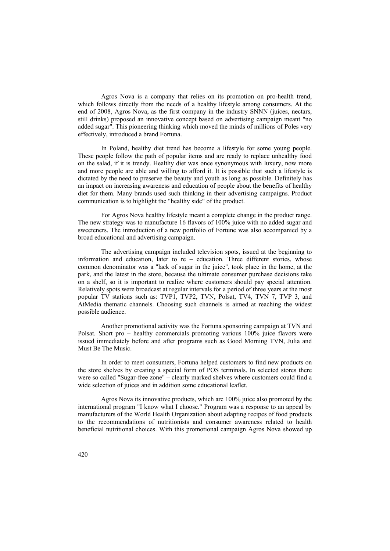Agros Nova is a company that relies on its promotion on pro-health trend, which follows directly from the needs of a healthy lifestyle among consumers. At the end of 2008, Agros Nova, as the first company in the industry SNNN (juices, nectars, still drinks) proposed an innovative concept based on advertising campaign meant "no added sugar". This pioneering thinking which moved the minds of millions of Poles very effectively, introduced a brand Fortuna.

In Poland, healthy diet trend has become a lifestyle for some young people. These people follow the path of popular items and are ready to replace unhealthy food on the salad, if it is trendy. Healthy diet was once synonymous with luxury, now more and more people are able and willing to afford it. It is possible that such a lifestyle is dictated by the need to preserve the beauty and youth as long as possible. Definitely has an impact on increasing awareness and education of people about the benefits of healthy diet for them. Many brands used such thinking in their advertising campaigns. Product communication is to highlight the "healthy side" of the product.

For Agros Nova healthy lifestyle meant a complete change in the product range. The new strategy was to manufacture 16 flavors of 100% juice with no added sugar and sweeteners. The introduction of a new portfolio of Fortune was also accompanied by a broad educational and advertising campaign.

The advertising campaign included television spots, issued at the beginning to information and education, later to re – education. Three different stories, whose common denominator was a "lack of sugar in the juice", took place in the home, at the park, and the latest in the store, because the ultimate consumer purchase decisions take on a shelf, so it is important to realize where customers should pay special attention. Relatively spots were broadcast at regular intervals for a period of three years at the most popular TV stations such as: TVP1, TVP2, TVN, Polsat, TV4, TVN 7, TVP 3, and AtMedia thematic channels. Choosing such channels is aimed at reaching the widest possible audience.

Another promotional activity was the Fortuna sponsoring campaign at TVN and Polsat. Short pro – healthy commercials promoting various 100% juice flavors were issued immediately before and after programs such as Good Morning TVN, Julia and Must Be The Music.

In order to meet consumers, Fortuna helped customers to find new products on the store shelves by creating a special form of POS terminals. In selected stores there were so called "Sugar-free zone" – clearly marked shelves where customers could find a wide selection of juices and in addition some educational leaflet.

Agros Nova its innovative products, which are 100% juice also promoted by the international program "I know what I choose." Program was a response to an appeal by manufacturers of the World Health Organization about adapting recipes of food products to the recommendations of nutritionists and consumer awareness related to health beneficial nutritional choices. With this promotional campaign Agros Nova showed up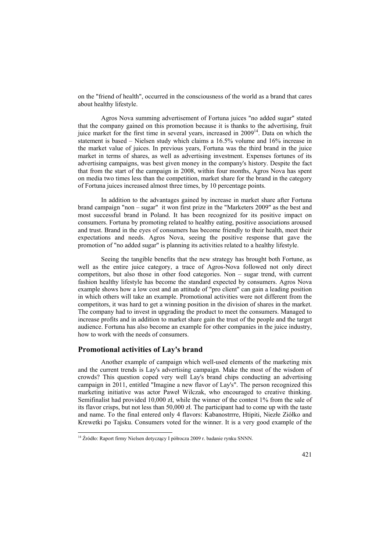on the "friend of health", occurred in the consciousness of the world as a brand that cares about healthy lifestyle.

Agros Nova summing advertisement of Fortuna juices "no added sugar" stated that the company gained on this promotion because it is thanks to the advertising, fruit juice market for the first time in several years, increased in 2009<sup>14</sup>. Data on which the statement is based – Nielsen study which claims a 16.5% volume and 16% increase in the market value of juices. In previous years, Fortuna was the third brand in the juice market in terms of shares, as well as advertising investment. Expenses fortunes of its advertising campaigns, was best given money in the company's history. Despite the fact that from the start of the campaign in 2008, within four months, Agros Nova has spent on media two times less than the competition, market share for the brand in the category of Fortuna juices increased almost three times, by 10 percentage points.

In addition to the advantages gained by increase in market share after Fortuna brand campaign "non – sugar" it won first prize in the "Marketers 2009" as the best and most successful brand in Poland. It has been recognized for its positive impact on consumers. Fortuna by promoting related to healthy eating, positive associations aroused and trust. Brand in the eyes of consumers has become friendly to their health, meet their expectations and needs. Agros Nova, seeing the positive response that gave the promotion of "no added sugar" is planning its activities related to a healthy lifestyle.

Seeing the tangible benefits that the new strategy has brought both Fortune, as well as the entire juice category, a trace of Agros-Nova followed not only direct competitors, but also those in other food categories. Non – sugar trend, with current fashion healthy lifestyle has become the standard expected by consumers. Agros Nova example shows how a low cost and an attitude of "pro client" can gain a leading position in which others will take an example. Promotional activities were not different from the competitors, it was hard to get a winning position in the division of shares in the market. The company had to invest in upgrading the product to meet the consumers. Managed to increase profits and in addition to market share gain the trust of the people and the target audience. Fortuna has also become an example for other companies in the juice industry, how to work with the needs of consumers.

# **Promotional activities of Lay's brand**

 $\overline{a}$ 

Another example of campaign which well-used elements of the marketing mix and the current trends is Lay's advertising campaign. Make the most of the wisdom of crowds? This question coped very well Lay's brand chips conducting an advertising campaign in 2011, entitled "Imagine a new flavor of Lay's". The person recognized this marketing initiative was actor Paweł Wilczak, who encouraged to creative thinking. Semifinalist had provided 10,000 zł, while the winner of the contest 1% from the sale of its flavor crisps, but not less than 50,000 zł. The participant had to come up with the taste and name. To the final entered only 4 flavors: Kabanostrrre, Htipiti, Niezłe Ziółko and Krewetki po Tajsku. Consumers voted for the winner. It is a very good example of the

<sup>&</sup>lt;sup>14</sup> Źródło: Raport firmy Nielsen dotyczący I półrocza 2009 r. badanie rynku SNNN.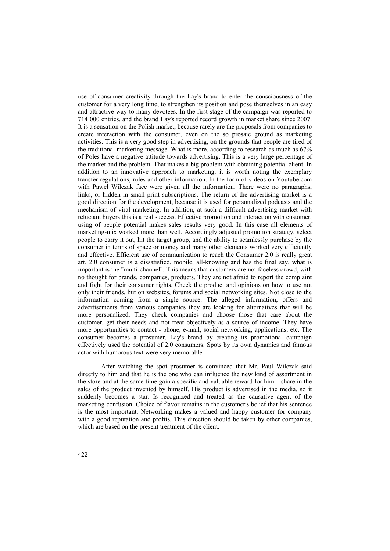use of consumer creativity through the Lay's brand to enter the consciousness of the customer for a very long time, to strengthen its position and pose themselves in an easy and attractive way to many devotees. In the first stage of the campaign was reported to 714 000 entries, and the brand Lay's reported record growth in market share since 2007. It is a sensation on the Polish market, because rarely are the proposals from companies to create interaction with the consumer, even on the so prosaic ground as marketing activities. This is a very good step in advertising, on the grounds that people are tired of the traditional marketing message. What is more, according to research as much as 67% of Poles have a negative attitude towards advertising. This is a very large percentage of the market and the problem. That makes a big problem with obtaining potential client. In addition to an innovative approach to marketing, it is worth noting the exemplary transfer regulations, rules and other information. In the form of videos on Youtube.com with Paweł Wilczak face were given all the information. There were no paragraphs, links, or hidden in small print subscriptions. The return of the advertising market is a good direction for the development, because it is used for personalized podcasts and the mechanism of viral marketing. In addition, at such a difficult advertising market with reluctant buyers this is a real success. Effective promotion and interaction with customer, using of people potential makes sales results very good. In this case all elements of marketing-mix worked more than well. Accordingly adjusted promotion strategy, select people to carry it out, hit the target group, and the ability to seamlessly purchase by the consumer in terms of space or money and many other elements worked very efficiently and effective. Efficient use of communication to reach the Consumer 2.0 is really great art. 2.0 consumer is a dissatisfied, mobile, all-knowing and has the final say, what is important is the "multi-channel". This means that customers are not faceless crowd, with no thought for brands, companies, products. They are not afraid to report the complaint and fight for their consumer rights. Check the product and opinions on how to use not only their friends, but on websites, forums and social networking sites. Not close to the information coming from a single source. The alleged information, offers and advertisements from various companies they are looking for alternatives that will be more personalized. They check companies and choose those that care about the customer, get their needs and not treat objectively as a source of income. They have more opportunities to contact - phone, e-mail, social networking, applications, etc. The consumer becomes a prosumer. Lay's brand by creating its promotional campaign effectively used the potential of 2.0 consumers. Spots by its own dynamics and famous actor with humorous text were very memorable.

After watching the spot prosumer is convinced that Mr. Paul Wilczak said directly to him and that he is the one who can influence the new kind of assortment in the store and at the same time gain a specific and valuable reward for him – share in the sales of the product invented by himself. His product is advertised in the media, so it suddenly becomes a star. Is recognized and treated as the causative agent of the marketing confusion. Choice of flavor remains in the customer's belief that his sentence is the most important. Networking makes a valued and happy customer for company with a good reputation and profits. This direction should be taken by other companies, which are based on the present treatment of the client.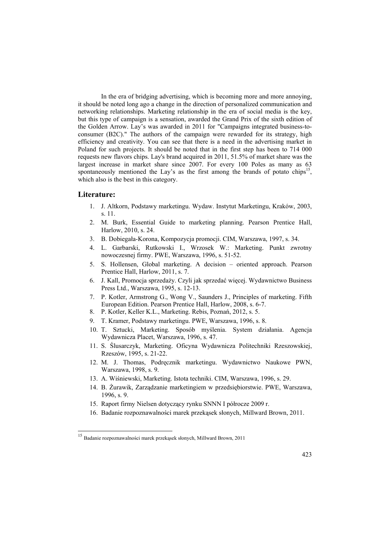In the era of bridging advertising, which is becoming more and more annoying, it should be noted long ago a change in the direction of personalized communication and networking relationships. Marketing relationship in the era of social media is the key, but this type of campaign is a sensation, awarded the Grand Prix of the sixth edition of the Golden Arrow. Lay's was awarded in 2011 for "Campaigns integrated business-toconsumer (B2C)." The authors of the campaign were rewarded for its strategy, high efficiency and creativity. You can see that there is a need in the advertising market in Poland for such projects. It should be noted that in the first step has been to 714 000 requests new flavors chips. Lay's brand acquired in 2011, 51.5% of market share was the largest increase in market share since 2007. For every 100 Poles as many as 63 spontaneously mentioned the Lay's as the first among the brands of potato chips<sup>15</sup>, which also is the best in this category.

#### **Literature:**

 $\overline{a}$ 

- 1. J. Altkorn, Podstawy marketingu. Wydaw. Instytut Marketingu, Kraków, 2003, s. 11.
- 2. M. Burk, Essential Guide to marketing planning. Pearson Prentice Hall, Harlow, 2010, s. 24.
- 3. B. Dobiegała-Korona, Kompozycja promocji. CIM, Warszawa, 1997, s. 34.
- 4. L. Garbarski, Rutkowski I., Wrzosek W.: Marketing. Punkt zwrotny nowoczesnej firmy. PWE, Warszawa, 1996, s. 51-52.
- 5. S. Hollensen, Global marketing. A decision oriented approach. Pearson Prentice Hall, Harlow, 2011, s. 7.
- 6. J. Kall, Promocja sprzedaży. Czyli jak sprzedać więcej. Wydawnictwo Business Press Ltd., Warszawa, 1995, s. 12-13.
- 7. P. Kotler, Armstrong G., Wong V., Saunders J., Principles of marketing. Fifth European Edition. Pearson Prentice Hall, Harlow, 2008, s. 6-7.
- 8. P. Kotler, Keller K.L., Marketing. Rebis, Poznań, 2012, s. 5.
- 9. T. Kramer, Podstawy marketingu. PWE, Warszawa, 1996, s. 8.
- 10. T. Sztucki, Marketing. Sposób myślenia. System działania. Agencja Wydawnicza Placet, Warszawa, 1996, s. 47.
- 11. S. ĝlusarczyk, Marketing. Oficyna Wydawnicza Politechniki Rzeszowskiej, Rzeszów, 1995, s. 21-22.
- 12. M. J. Thomas, Podręcznik marketingu. Wydawnictwo Naukowe PWN, Warszawa, 1998, s. 9.
- 13. A. Wiśniewski, Marketing. Istota techniki. CIM, Warszawa, 1996, s. 29.
- 14. B. ĩurawik, Zarządzanie marketingiem w przedsiębiorstwie. PWE, Warszawa, 1996, s. 9.
- 15. Raport firmy Nielsen dotyczący rynku SNNN I półrocze 2009 r.
- 16. Badanie rozpoznawalności marek przekąsek słonych, Millward Brown, 2011.

<sup>15</sup> Badanie rozpoznawalności marek przekąsek słonych, Millward Brown, 2011